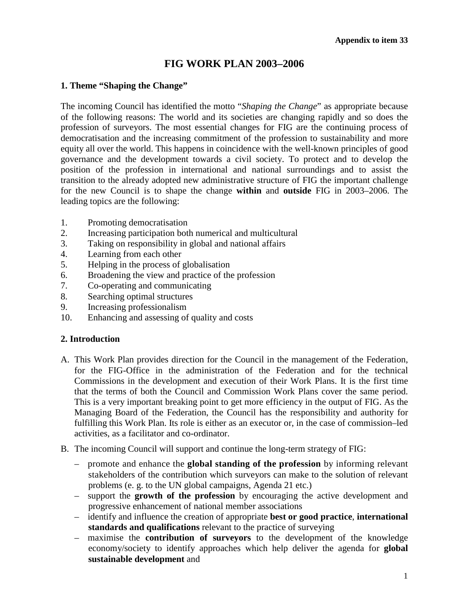# **FIG WORK PLAN 2003–2006**

#### **1. Theme "Shaping the Change"**

The incoming Council has identified the motto "*Shaping the Change*" as appropriate because of the following reasons: The world and its societies are changing rapidly and so does the profession of surveyors. The most essential changes for FIG are the continuing process of democratisation and the increasing commitment of the profession to sustainability and more equity all over the world. This happens in coincidence with the well-known principles of good governance and the development towards a civil society. To protect and to develop the position of the profession in international and national surroundings and to assist the transition to the already adopted new administrative structure of FIG the important challenge for the new Council is to shape the change **within** and **outside** FIG in 2003–2006. The leading topics are the following:

- 1. Promoting democratisation
- 2. Increasing participation both numerical and multicultural
- 3. Taking on responsibility in global and national affairs
- 4. Learning from each other
- 5. Helping in the process of globalisation
- 6. Broadening the view and practice of the profession
- 7. Co-operating and communicating
- 8. Searching optimal structures
- 9. Increasing professionalism
- 10. Enhancing and assessing of quality and costs

### **2. Introduction**

- A. This Work Plan provides direction for the Council in the management of the Federation, for the FIG-Office in the administration of the Federation and for the technical Commissions in the development and execution of their Work Plans. It is the first time that the terms of both the Council and Commission Work Plans cover the same period. This is a very important breaking point to get more efficiency in the output of FIG. As the Managing Board of the Federation, the Council has the responsibility and authority for fulfilling this Work Plan. Its role is either as an executor or, in the case of commission–led activities, as a facilitator and co-ordinator.
- B. The incoming Council will support and continue the long-term strategy of FIG:
	- promote and enhance the **global standing of the profession** by informing relevant stakeholders of the contribution which surveyors can make to the solution of relevant problems (e. g. to the UN global campaigns, Agenda 21 etc.)
	- support the **growth of the profession** by encouraging the active development and progressive enhancement of national member associations
	- identify and influence the creation of appropriate **best or good practice**, **international standards and qualifications** relevant to the practice of surveying
	- maximise the **contribution of surveyors** to the development of the knowledge economy/society to identify approaches which help deliver the agenda for **global sustainable development** and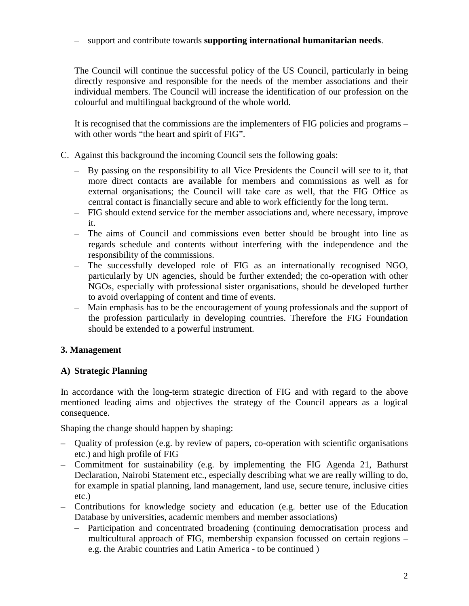#### – support and contribute towards **supporting international humanitarian needs**.

The Council will continue the successful policy of the US Council, particularly in being directly responsive and responsible for the needs of the member associations and their individual members. The Council will increase the identification of our profession on the colourful and multilingual background of the whole world.

It is recognised that the commissions are the implementers of FIG policies and programs – with other words "the heart and spirit of FIG".

- C. Against this background the incoming Council sets the following goals:
	- By passing on the responsibility to all Vice Presidents the Council will see to it, that more direct contacts are available for members and commissions as well as for external organisations; the Council will take care as well, that the FIG Office as central contact is financially secure and able to work efficiently for the long term.
	- FIG should extend service for the member associations and, where necessary, improve it.
	- The aims of Council and commissions even better should be brought into line as regards schedule and contents without interfering with the independence and the responsibility of the commissions.
	- The successfully developed role of FIG as an internationally recognised NGO, particularly by UN agencies, should be further extended; the co-operation with other NGOs, especially with professional sister organisations, should be developed further to avoid overlapping of content and time of events.
	- Main emphasis has to be the encouragement of young professionals and the support of the profession particularly in developing countries. Therefore the FIG Foundation should be extended to a powerful instrument.

## **3. Management**

## **A) Strategic Planning**

In accordance with the long-term strategic direction of FIG and with regard to the above mentioned leading aims and objectives the strategy of the Council appears as a logical consequence.

Shaping the change should happen by shaping:

- Quality of profession (e.g. by review of papers, co-operation with scientific organisations etc.) and high profile of FIG
- Commitment for sustainability (e.g. by implementing the FIG Agenda 21, Bathurst Declaration, Nairobi Statement etc., especially describing what we are really willing to do, for example in spatial planning, land management, land use, secure tenure, inclusive cities etc.)
- Contributions for knowledge society and education (e.g. better use of the Education Database by universities, academic members and member associations)
	- Participation and concentrated broadening (continuing democratisation process and multicultural approach of FIG, membership expansion focussed on certain regions – e.g. the Arabic countries and Latin America - to be continued )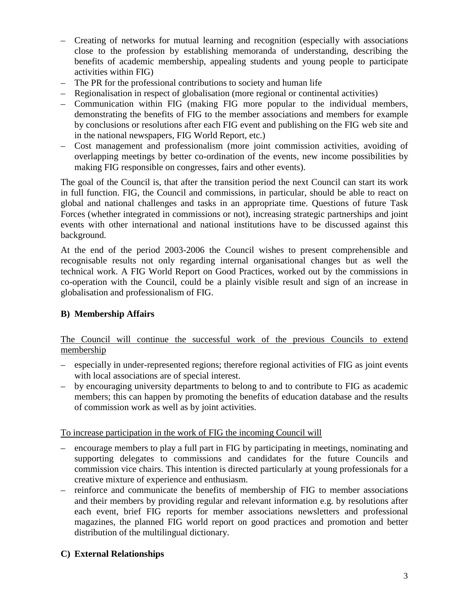- Creating of networks for mutual learning and recognition (especially with associations close to the profession by establishing memoranda of understanding, describing the benefits of academic membership, appealing students and young people to participate activities within FIG)
- The PR for the professional contributions to society and human life
- Regionalisation in respect of globalisation (more regional or continental activities)
- Communication within FIG (making FIG more popular to the individual members, demonstrating the benefits of FIG to the member associations and members for example by conclusions or resolutions after each FIG event and publishing on the FIG web site and in the national newspapers, FIG World Report, etc.)
- Cost management and professionalism (more joint commission activities, avoiding of overlapping meetings by better co-ordination of the events, new income possibilities by making FIG responsible on congresses, fairs and other events).

The goal of the Council is, that after the transition period the next Council can start its work in full function. FIG, the Council and commissions, in particular, should be able to react on global and national challenges and tasks in an appropriate time. Questions of future Task Forces (whether integrated in commissions or not), increasing strategic partnerships and joint events with other international and national institutions have to be discussed against this background.

At the end of the period 2003-2006 the Council wishes to present comprehensible and recognisable results not only regarding internal organisational changes but as well the technical work. A FIG World Report on Good Practices, worked out by the commissions in co-operation with the Council, could be a plainly visible result and sign of an increase in globalisation and professionalism of FIG.

### **B) Membership Affairs**

The Council will continue the successful work of the previous Councils to extend membership

- especially in under-represented regions; therefore regional activities of FIG as joint events with local associations are of special interest.
- by encouraging university departments to belong to and to contribute to FIG as academic members; this can happen by promoting the benefits of education database and the results of commission work as well as by joint activities.

### To increase participation in the work of FIG the incoming Council will

- encourage members to play a full part in FIG by participating in meetings, nominating and supporting delegates to commissions and candidates for the future Councils and commission vice chairs. This intention is directed particularly at young professionals for a creative mixture of experience and enthusiasm.
- reinforce and communicate the benefits of membership of FIG to member associations and their members by providing regular and relevant information e.g. by resolutions after each event, brief FIG reports for member associations newsletters and professional magazines, the planned FIG world report on good practices and promotion and better distribution of the multilingual dictionary.

### **C) External Relationships**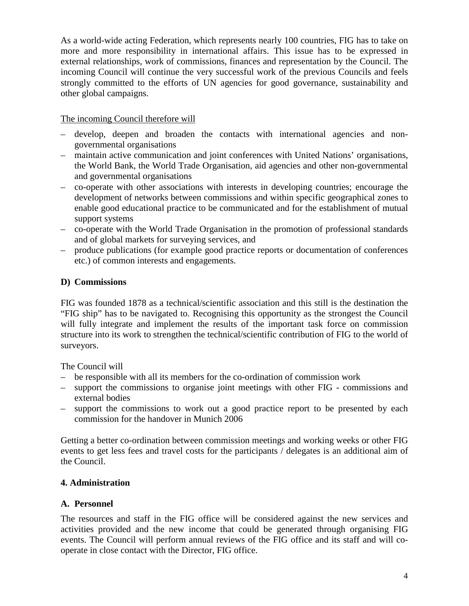As a world-wide acting Federation, which represents nearly 100 countries, FIG has to take on more and more responsibility in international affairs. This issue has to be expressed in external relationships, work of commissions, finances and representation by the Council. The incoming Council will continue the very successful work of the previous Councils and feels strongly committed to the efforts of UN agencies for good governance, sustainability and other global campaigns.

### The incoming Council therefore will

- develop, deepen and broaden the contacts with international agencies and nongovernmental organisations
- maintain active communication and joint conferences with United Nations' organisations, the World Bank, the World Trade Organisation, aid agencies and other non-governmental and governmental organisations
- co-operate with other associations with interests in developing countries; encourage the development of networks between commissions and within specific geographical zones to enable good educational practice to be communicated and for the establishment of mutual support systems
- co-operate with the World Trade Organisation in the promotion of professional standards and of global markets for surveying services, and
- produce publications (for example good practice reports or documentation of conferences etc.) of common interests and engagements.

### **D) Commissions**

FIG was founded 1878 as a technical/scientific association and this still is the destination the "FIG ship" has to be navigated to. Recognising this opportunity as the strongest the Council will fully integrate and implement the results of the important task force on commission structure into its work to strengthen the technical/scientific contribution of FIG to the world of surveyors.

The Council will

- be responsible with all its members for the co-ordination of commission work
- support the commissions to organise joint meetings with other FIG commissions and external bodies
- support the commissions to work out a good practice report to be presented by each commission for the handover in Munich 2006

Getting a better co-ordination between commission meetings and working weeks or other FIG events to get less fees and travel costs for the participants / delegates is an additional aim of the Council.

## **4. Administration**

### **A. Personnel**

The resources and staff in the FIG office will be considered against the new services and activities provided and the new income that could be generated through organising FIG events. The Council will perform annual reviews of the FIG office and its staff and will cooperate in close contact with the Director, FIG office.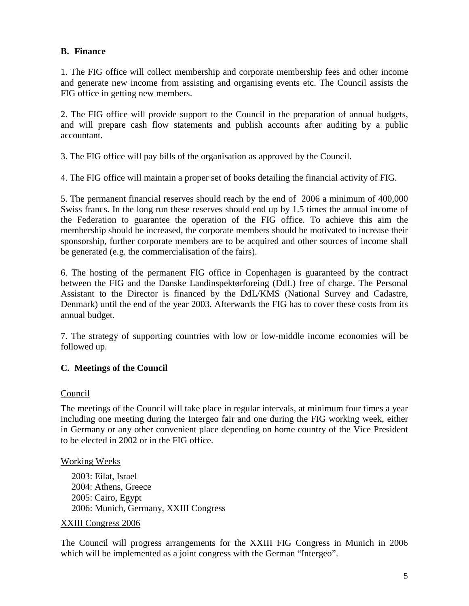### **B. Finance**

1. The FIG office will collect membership and corporate membership fees and other income and generate new income from assisting and organising events etc. The Council assists the FIG office in getting new members.

2. The FIG office will provide support to the Council in the preparation of annual budgets, and will prepare cash flow statements and publish accounts after auditing by a public accountant.

3. The FIG office will pay bills of the organisation as approved by the Council.

4. The FIG office will maintain a proper set of books detailing the financial activity of FIG.

5. The permanent financial reserves should reach by the end of 2006 a minimum of 400,000 Swiss francs. In the long run these reserves should end up by 1.5 times the annual income of the Federation to guarantee the operation of the FIG office. To achieve this aim the membership should be increased, the corporate members should be motivated to increase their sponsorship, further corporate members are to be acquired and other sources of income shall be generated (e.g. the commercialisation of the fairs).

6. The hosting of the permanent FIG office in Copenhagen is guaranteed by the contract between the FIG and the Danske Landinspektørforeing (DdL) free of charge. The Personal Assistant to the Director is financed by the DdL/KMS (National Survey and Cadastre, Denmark) until the end of the year 2003. Afterwards the FIG has to cover these costs from its annual budget.

7. The strategy of supporting countries with low or low-middle income economies will be followed up.

### **C. Meetings of the Council**

#### **Council**

The meetings of the Council will take place in regular intervals, at minimum four times a year including one meeting during the Intergeo fair and one during the FIG working week, either in Germany or any other convenient place depending on home country of the Vice President to be elected in 2002 or in the FIG office.

#### Working Weeks

2003: Eilat, Israel 2004: Athens, Greece 2005: Cairo, Egypt 2006: Munich, Germany, XXIII Congress

#### XXIII Congress 2006

The Council will progress arrangements for the XXIII FIG Congress in Munich in 2006 which will be implemented as a joint congress with the German "Intergeo".